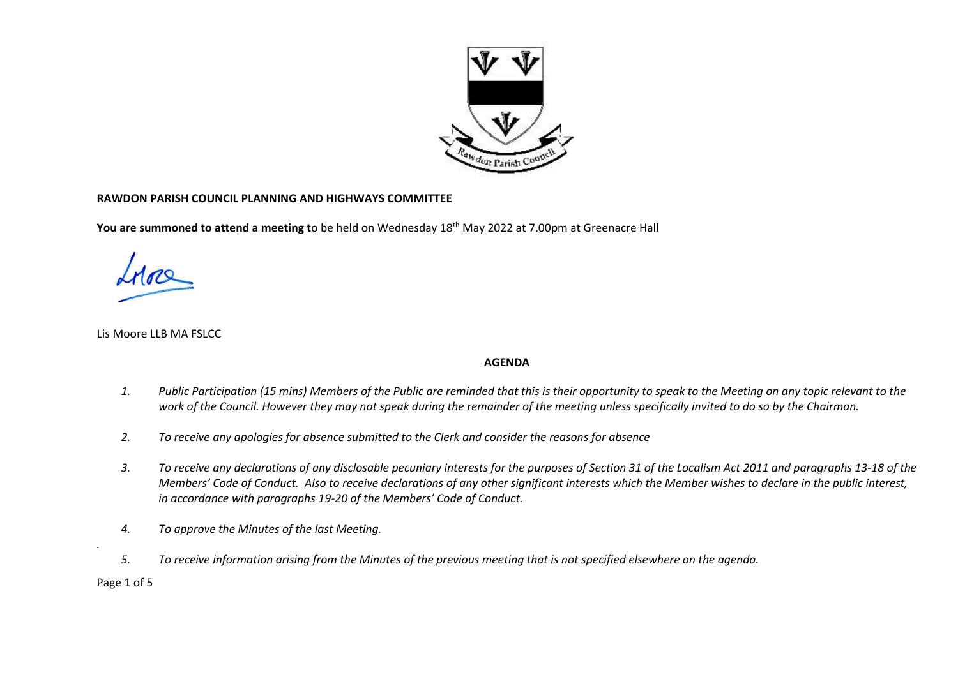

## **RAWDON PARISH COUNCIL PLANNING AND HIGHWAYS COMMITTEE**

**You are summoned to attend a meeting t**o be held on Wednesday 18th May 2022 at 7.00pm at Greenacre Hall

Lis Moore LLB MA FSLCC

## **AGENDA**

- *1. Public Participation (15 mins) Members of the Public are reminded that this is their opportunity to speak to the Meeting on any topic relevant to the work of the Council. However they may not speak during the remainder of the meeting unless specifically invited to do so by the Chairman.*
- *2. To receive any apologies for absence submitted to the Clerk and consider the reasons for absence*
- *3. To receive any declarations of any disclosable pecuniary interests for the purposes of Section 31 of the Localism Act 2011 and paragraphs 13-18 of the Members' Code of Conduct. Also to receive declarations of any other significant interests which the Member wishes to declare in the public interest, in accordance with paragraphs 19-20 of the Members' Code of Conduct.*
- *4. To approve the Minutes of the last Meeting.*
- *5. To receive information arising from the Minutes of the previous meeting that is not specified elsewhere on the agenda.*

Page 1 of 5

*.*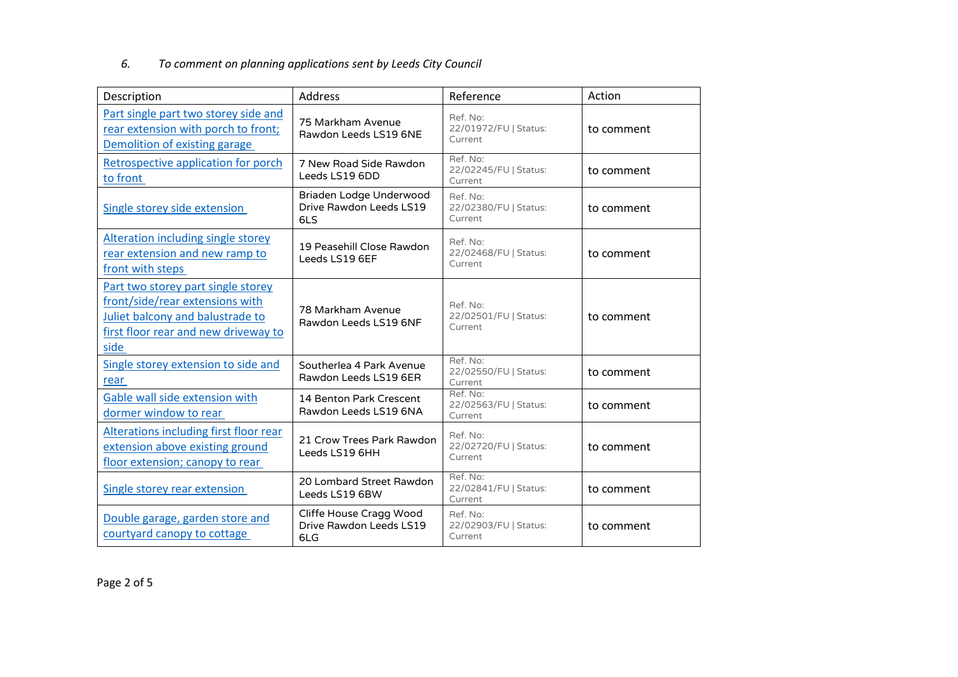## *6. To comment on planning applications sent by Leeds City Council*

| Description                                                                                                                                               | Address                                                   | Reference                                    | Action     |  |
|-----------------------------------------------------------------------------------------------------------------------------------------------------------|-----------------------------------------------------------|----------------------------------------------|------------|--|
| Part single part two storey side and<br>rear extension with porch to front;<br>Demolition of existing garage                                              | 75 Markham Avenue<br>Rawdon Leeds LS19 6NE                | Ref. No:<br>22/01972/FU   Status:<br>Current | to comment |  |
| Retrospective application for porch<br>to front                                                                                                           | 7 New Road Side Rawdon<br>Leeds LS19 6DD                  | Ref. No:<br>22/02245/FU   Status:<br>Current | to comment |  |
| Single storey side extension                                                                                                                              | Briaden Lodge Underwood<br>Drive Rawdon Leeds LS19<br>6LS | Ref. No:<br>22/02380/FU   Status:<br>Current | to comment |  |
| <b>Alteration including single storey</b><br>rear extension and new ramp to<br>front with steps                                                           | 19 Peasehill Close Rawdon<br>Leeds LS19 6EF               | Ref. No:<br>22/02468/FU   Status:<br>Current | to comment |  |
| Part two storey part single storey<br>front/side/rear extensions with<br>Juliet balcony and balustrade to<br>first floor rear and new driveway to<br>side | 78 Markham Avenue<br>Rawdon Leeds LS19 6NF                | Ref. No:<br>22/02501/FU   Status:<br>Current | to comment |  |
| Single storey extension to side and<br>rear                                                                                                               | Southerlea 4 Park Avenue<br>Rawdon Leeds LS19 6ER         | Ref. No:<br>22/02550/FU   Status:<br>Current | to comment |  |
| Gable wall side extension with<br>dormer window to rear                                                                                                   | 14 Benton Park Crescent<br>Rawdon Leeds LS19 6NA          | Ref. No:<br>22/02563/FU   Status:<br>Current | to comment |  |
| Alterations including first floor rear<br>extension above existing ground<br>floor extension; canopy to rear                                              | 21 Crow Trees Park Rawdon<br>Leeds LS19 6HH               | Ref. No:<br>22/02720/FU   Status:<br>Current | to comment |  |
| <b>Single storey rear extension</b>                                                                                                                       | 20 Lombard Street Rawdon<br>Leeds LS19 6BW                | Ref. No:<br>22/02841/FU   Status:<br>Current | to comment |  |
| Double garage, garden store and<br>courtyard canopy to cottage                                                                                            | Cliffe House Cragg Wood<br>Drive Rawdon Leeds LS19<br>6LG | Ref. No:<br>22/02903/FU   Status:<br>Current | to comment |  |

Page 2 of 5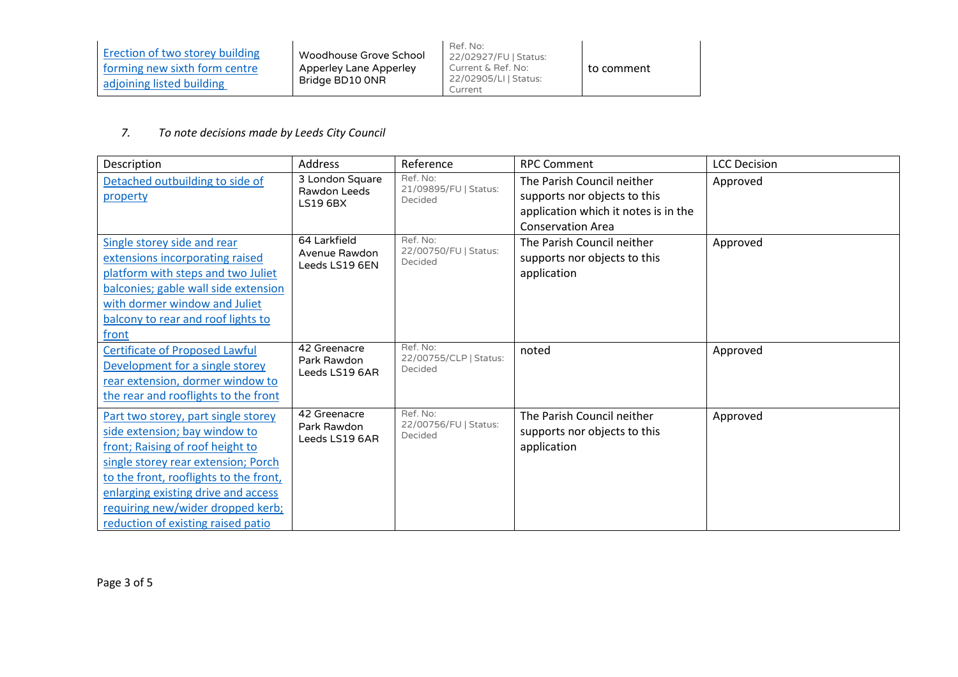| Erection of two storey building<br>forming new sixth form centre<br>adjoining listed building | Woodhouse Grove School<br>Apperley Lane Apperley<br>Bridge BD10 ONR | Ref. No:<br>22/02927/FU   Status:<br>Current & Ref. No:<br>22/02905/LI   Status:<br>Current | to comment |
|-----------------------------------------------------------------------------------------------|---------------------------------------------------------------------|---------------------------------------------------------------------------------------------|------------|
|-----------------------------------------------------------------------------------------------|---------------------------------------------------------------------|---------------------------------------------------------------------------------------------|------------|

## *7. To note decisions made by Leeds City Council*

| Description                                 | <b>Address</b>                  | Reference                          | <b>RPC Comment</b>                                         | <b>LCC Decision</b> |
|---------------------------------------------|---------------------------------|------------------------------------|------------------------------------------------------------|---------------------|
| Detached outbuilding to side of<br>property | 3 London Square<br>Rawdon Leeds | Ref. No:<br>21/09895/FU   Status:  | The Parish Council neither<br>supports nor objects to this | Approved            |
|                                             | <b>LS19 6BX</b>                 | Decided                            | application which it notes is in the                       |                     |
|                                             |                                 |                                    | <b>Conservation Area</b>                                   |                     |
| Single storey side and rear                 | 64 Larkfield                    | Ref. No:<br>22/00750/FU   Status:  | The Parish Council neither                                 | Approved            |
| extensions incorporating raised             | Avenue Rawdon<br>Leeds LS19 6EN | Decided                            | supports nor objects to this                               |                     |
| platform with steps and two Juliet          |                                 |                                    | application                                                |                     |
| balconies; gable wall side extension        |                                 |                                    |                                                            |                     |
| with dormer window and Juliet               |                                 |                                    |                                                            |                     |
| balcony to rear and roof lights to          |                                 |                                    |                                                            |                     |
| front                                       |                                 |                                    |                                                            |                     |
| <b>Certificate of Proposed Lawful</b>       | 42 Greenacre<br>Park Rawdon     | Ref. No:<br>22/00755/CLP   Status: | noted                                                      | Approved            |
| Development for a single storey             | Leeds LS19 6AR                  | Decided                            |                                                            |                     |
| rear extension, dormer window to            |                                 |                                    |                                                            |                     |
| the rear and rooflights to the front        |                                 |                                    |                                                            |                     |
| Part two storey, part single storey         | 42 Greenacre                    | Ref. No:                           | The Parish Council neither                                 | Approved            |
| side extension; bay window to               | Park Rawdon<br>Leeds LS19 6AR   | 22/00756/FU   Status:<br>Decided   | supports nor objects to this                               |                     |
| front; Raising of roof height to            |                                 |                                    | application                                                |                     |
| single storey rear extension; Porch         |                                 |                                    |                                                            |                     |
| to the front, rooflights to the front,      |                                 |                                    |                                                            |                     |
| enlarging existing drive and access         |                                 |                                    |                                                            |                     |
| requiring new/wider dropped kerb;           |                                 |                                    |                                                            |                     |
| reduction of existing raised patio          |                                 |                                    |                                                            |                     |

Page 3 of 5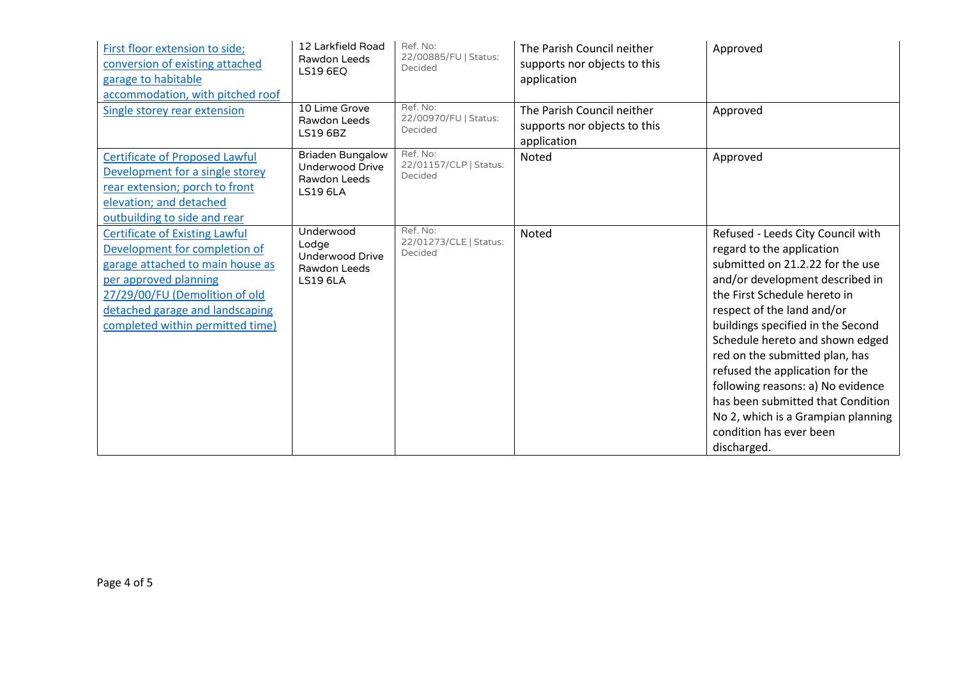| First floor extension to side;<br>conversion of existing attached<br>garage to habitable<br>accommodation, with pitched roof                                                                                                                 | 12 Larkfield Road<br>Rawdon Leeds<br><b>LS19 6EQ</b>                                 | Ref. No:<br>22/00885/FU   Status:<br>Decided  | The Parish Council neither<br>supports nor objects to this<br>application | Approved                                                                                                                                                                                                                                                                                                                                                                                                                                                                                                   |
|----------------------------------------------------------------------------------------------------------------------------------------------------------------------------------------------------------------------------------------------|--------------------------------------------------------------------------------------|-----------------------------------------------|---------------------------------------------------------------------------|------------------------------------------------------------------------------------------------------------------------------------------------------------------------------------------------------------------------------------------------------------------------------------------------------------------------------------------------------------------------------------------------------------------------------------------------------------------------------------------------------------|
| Single storey rear extension                                                                                                                                                                                                                 | 10 Lime Grove<br>Rawdon Leeds<br><b>LS19 6BZ</b>                                     | Ref. No:<br>22/00970/FU   Status:<br>Decided  | The Parish Council neither<br>supports nor objects to this<br>application | Approved                                                                                                                                                                                                                                                                                                                                                                                                                                                                                                   |
| <b>Certificate of Proposed Lawful</b><br>Development for a single storey<br>rear extension; porch to front<br>elevation; and detached<br>outbuilding to side and rear                                                                        | <b>Briaden Bungalow</b><br><b>Underwood Drive</b><br>Rawdon Leeds<br><b>LS19 6LA</b> | Ref. No:<br>22/01157/CLP   Status:<br>Decided | Noted                                                                     | Approved                                                                                                                                                                                                                                                                                                                                                                                                                                                                                                   |
| <b>Certificate of Existing Lawful</b><br>Development for completion of<br>garage attached to main house as<br>per approved planning<br>27/29/00/FU (Demolition of old<br>detached garage and landscaping<br>completed within permitted time) | Underwood<br>Lodge<br><b>Underwood Drive</b><br>Rawdon Leeds<br><b>LS19 6LA</b>      | Ref. No:<br>22/01273/CLE   Status:<br>Decided | Noted                                                                     | Refused - Leeds City Council with<br>regard to the application<br>submitted on 21.2.22 for the use<br>and/or development described in<br>the First Schedule hereto in<br>respect of the land and/or<br>buildings specified in the Second<br>Schedule hereto and shown edged<br>red on the submitted plan, has<br>refused the application for the<br>following reasons: a) No evidence<br>has been submitted that Condition<br>No 2, which is a Grampian planning<br>condition has ever been<br>discharged. |